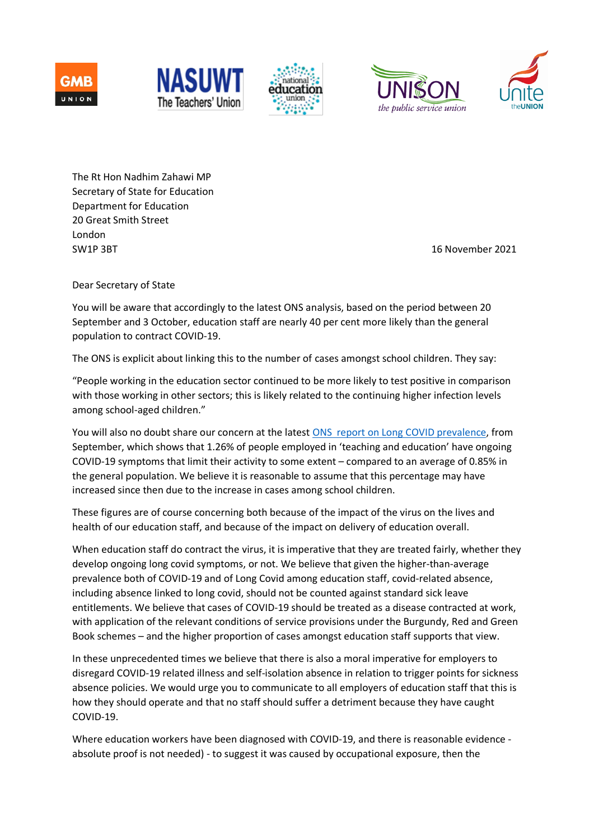









The Rt Hon Nadhim Zahawi MP Secretary of State for Education Department for Education 20 Great Smith Street London SW1P 3BT 38 November 2021

Dear Secretary of State

You will be aware that accordingly to the latest ONS analysis, based on the period between 20 September and 3 October, education staff are nearly 40 per cent more likely than the general population to contract COVID-19.

The ONS is explicit about linking this to the number of cases amongst school children. They say:

"People working in the education sector continued to be more likely to test positive in comparison with those working in other sectors; this is likely related to the continuing higher infection levels among school-aged children."

You will also no doubt share our concern at the latest ONS report on Long COVID prevalence, from September, which shows that 1.26% of people employed in 'teaching and education' have ongoing COVID-19 symptoms that limit their activity to some extent – compared to an average of 0.85% in the general population. We believe it is reasonable to assume that this percentage may have increased since then due to the increase in cases among school children.

These figures are of course concerning both because of the impact of the virus on the lives and health of our education staff, and because of the impact on delivery of education overall.

When education staff do contract the virus, it is imperative that they are treated fairly, whether they develop ongoing long covid symptoms, or not. We believe that given the higher-than-average prevalence both of COVID-19 and of Long Covid among education staff, covid-related absence, including absence linked to long covid, should not be counted against standard sick leave entitlements. We believe that cases of COVID-19 should be treated as a disease contracted at work, with application of the relevant conditions of service provisions under the Burgundy, Red and Green Book schemes – and the higher proportion of cases amongst education staff supports that view.

In these unprecedented times we believe that there is also a moral imperative for employers to disregard COVID-19 related illness and self-isolation absence in relation to trigger points for sickness absence policies. We would urge you to communicate to all employers of education staff that this is how they should operate and that no staff should suffer a detriment because they have caught COVID-19.

Where education workers have been diagnosed with COVID-19, and there is reasonable evidence absolute proof is not needed) - to suggest it was caused by occupational exposure, then the